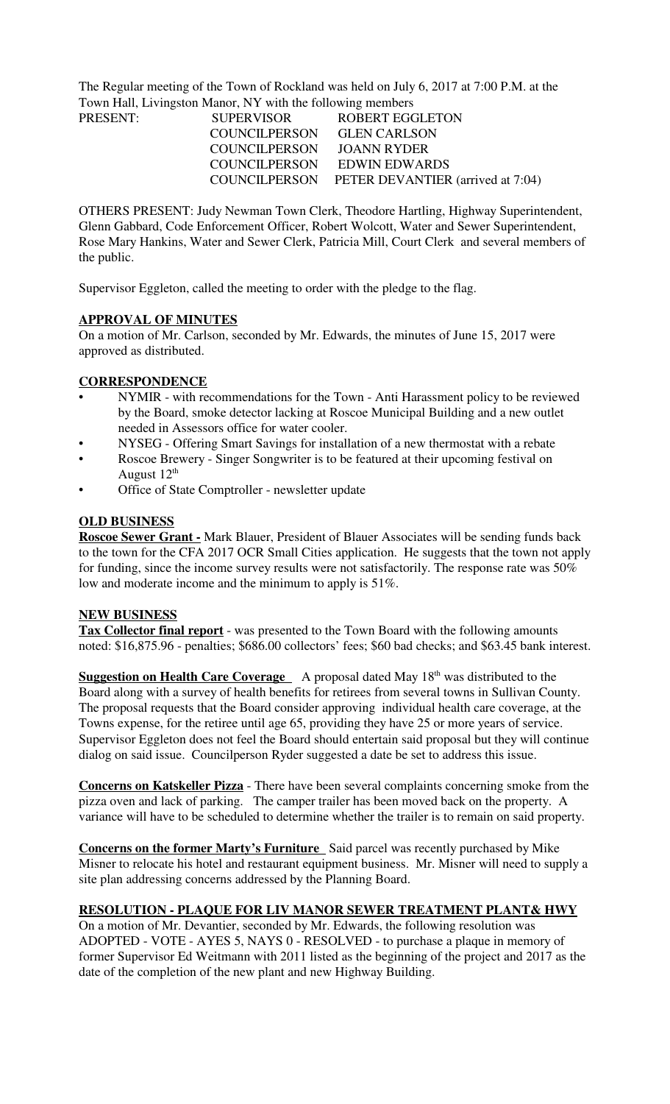The Regular meeting of the Town of Rockland was held on July 6, 2017 at 7:00 P.M. at the Town Hall, Livingston Manor, NY with the following members

| PRESENT: | <b>SUPERVISOR</b>          | <b>ROBERT EGGLETON</b>                          |
|----------|----------------------------|-------------------------------------------------|
|          | COUNCILPERSON GLEN CARLSON |                                                 |
|          | COUNCILPERSON JOANN RYDER  |                                                 |
|          |                            | COUNCILPERSON EDWIN EDWARDS                     |
|          |                            | COUNCILPERSON PETER DEVANTIER (arrived at 7:04) |

OTHERS PRESENT: Judy Newman Town Clerk, Theodore Hartling, Highway Superintendent, Glenn Gabbard, Code Enforcement Officer, Robert Wolcott, Water and Sewer Superintendent, Rose Mary Hankins, Water and Sewer Clerk, Patricia Mill, Court Clerk and several members of the public.

Supervisor Eggleton, called the meeting to order with the pledge to the flag.

# **APPROVAL OF MINUTES**

On a motion of Mr. Carlson, seconded by Mr. Edwards, the minutes of June 15, 2017 were approved as distributed.

### **CORRESPONDENCE**

- NYMIR with recommendations for the Town Anti Harassment policy to be reviewed by the Board, smoke detector lacking at Roscoe Municipal Building and a new outlet needed in Assessors office for water cooler.
- NYSEG Offering Smart Savings for installation of a new thermostat with a rebate
- Roscoe Brewery Singer Songwriter is to be featured at their upcoming festival on August  $12^{th}$
- Office of State Comptroller newsletter update

### **OLD BUSINESS**

**Roscoe Sewer Grant -** Mark Blauer, President of Blauer Associates will be sending funds back to the town for the CFA 2017 OCR Small Cities application. He suggests that the town not apply for funding, since the income survey results were not satisfactorily. The response rate was 50% low and moderate income and the minimum to apply is 51%.

#### **NEW BUSINESS**

**Tax Collector final report** - was presented to the Town Board with the following amounts noted: \$16,875.96 - penalties; \$686.00 collectors' fees; \$60 bad checks; and \$63.45 bank interest.

**Suggestion on Health Care Coverage** A proposal dated May 18<sup>th</sup> was distributed to the Board along with a survey of health benefits for retirees from several towns in Sullivan County. The proposal requests that the Board consider approving individual health care coverage, at the Towns expense, for the retiree until age 65, providing they have 25 or more years of service. Supervisor Eggleton does not feel the Board should entertain said proposal but they will continue dialog on said issue. Councilperson Ryder suggested a date be set to address this issue.

**Concerns on Katskeller Pizza** - There have been several complaints concerning smoke from the pizza oven and lack of parking. The camper trailer has been moved back on the property. A variance will have to be scheduled to determine whether the trailer is to remain on said property.

**Concerns on the former Marty's Furniture** Said parcel was recently purchased by Mike Misner to relocate his hotel and restaurant equipment business. Mr. Misner will need to supply a site plan addressing concerns addressed by the Planning Board.

# **RESOLUTION - PLAQUE FOR LIV MANOR SEWER TREATMENT PLANT& HWY**

On a motion of Mr. Devantier, seconded by Mr. Edwards, the following resolution was ADOPTED - VOTE - AYES 5, NAYS 0 - RESOLVED - to purchase a plaque in memory of former Supervisor Ed Weitmann with 2011 listed as the beginning of the project and 2017 as the date of the completion of the new plant and new Highway Building.